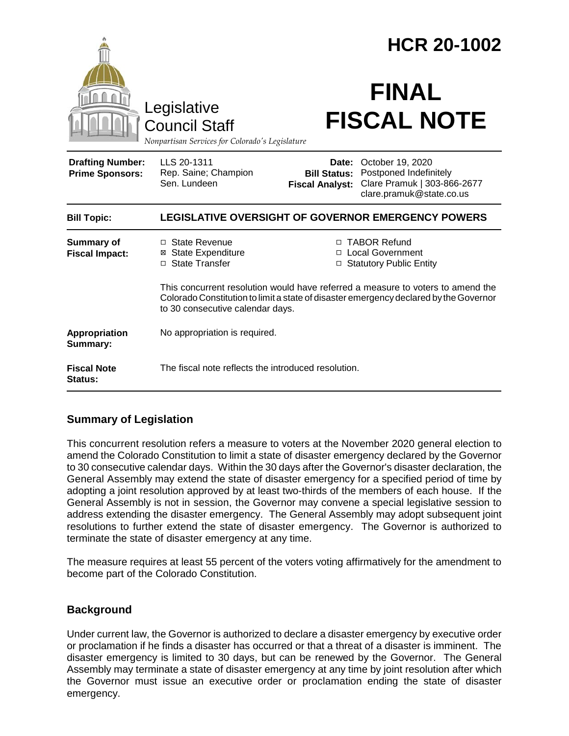|                                                                                        |                                                                                                                                                                                                              |                                               | <b>HCR 20-1002</b>                                                                                                 |  |
|----------------------------------------------------------------------------------------|--------------------------------------------------------------------------------------------------------------------------------------------------------------------------------------------------------------|-----------------------------------------------|--------------------------------------------------------------------------------------------------------------------|--|
| Legislative<br><b>Council Staff</b><br>Nonpartisan Services for Colorado's Legislature |                                                                                                                                                                                                              | <b>FINAL</b><br><b>FISCAL NOTE</b>            |                                                                                                                    |  |
| <b>Drafting Number:</b><br><b>Prime Sponsors:</b>                                      | LLS 20-1311<br>Rep. Saine; Champion<br>Sen. Lundeen                                                                                                                                                          | <b>Bill Status:</b><br><b>Fiscal Analyst:</b> | <b>Date: October 19, 2020</b><br>Postponed Indefinitely<br>Clare Pramuk   303-866-2677<br>clare.pramuk@state.co.us |  |
| <b>Bill Topic:</b>                                                                     | <b>LEGISLATIVE OVERSIGHT OF GOVERNOR EMERGENCY POWERS</b>                                                                                                                                                    |                                               |                                                                                                                    |  |
| <b>Summary of</b><br><b>Fiscal Impact:</b>                                             | □ State Revenue<br>⊠ State Expenditure<br>□ State Transfer                                                                                                                                                   | □                                             | □ TABOR Refund<br>□ Local Government<br><b>Statutory Public Entity</b>                                             |  |
|                                                                                        | This concurrent resolution would have referred a measure to voters to amend the<br>Colorado Constitution to limit a state of disaster emergency declared by the Governor<br>to 30 consecutive calendar days. |                                               |                                                                                                                    |  |
| Appropriation<br>Summary:                                                              | No appropriation is required.                                                                                                                                                                                |                                               |                                                                                                                    |  |
| <b>Fiscal Note</b><br>Status:                                                          | The fiscal note reflects the introduced resolution.                                                                                                                                                          |                                               |                                                                                                                    |  |

# **Summary of Legislation**

This concurrent resolution refers a measure to voters at the November 2020 general election to amend the Colorado Constitution to limit a state of disaster emergency declared by the Governor to 30 consecutive calendar days. Within the 30 days after the Governor's disaster declaration, the General Assembly may extend the state of disaster emergency for a specified period of time by adopting a joint resolution approved by at least two-thirds of the members of each house. If the General Assembly is not in session, the Governor may convene a special legislative session to address extending the disaster emergency. The General Assembly may adopt subsequent joint resolutions to further extend the state of disaster emergency. The Governor is authorized to terminate the state of disaster emergency at any time.

The measure requires at least 55 percent of the voters voting affirmatively for the amendment to become part of the Colorado Constitution.

# **Background**

Under current law, the Governor is authorized to declare a disaster emergency by executive order or proclamation if he finds a disaster has occurred or that a threat of a disaster is imminent. The disaster emergency is limited to 30 days, but can be renewed by the Governor. The General Assembly may terminate a state of disaster emergency at any time by joint resolution after which the Governor must issue an executive order or proclamation ending the state of disaster emergency.